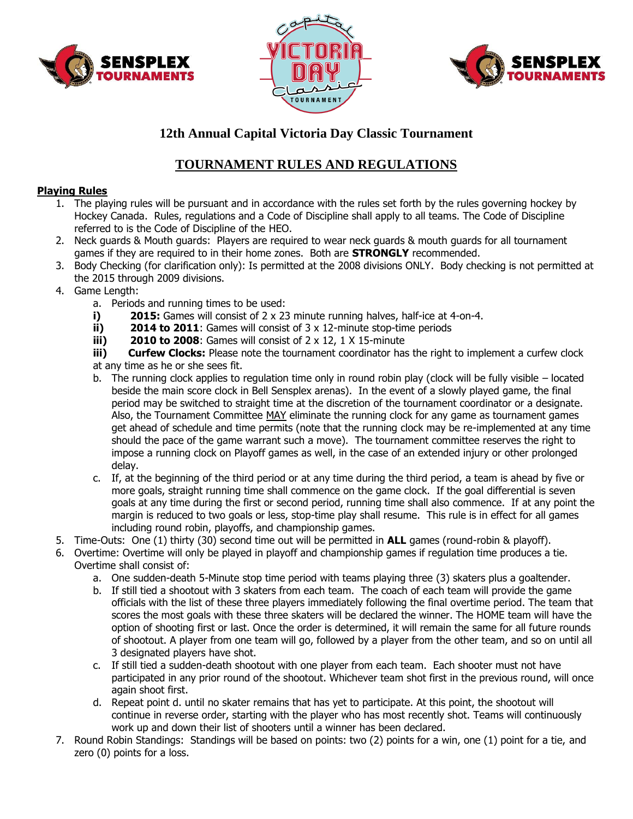





## **12th Annual Capital Victoria Day Classic Tournament**

## **TOURNAMENT RULES AND REGULATIONS**

## **Playing Rules**

- 1. The playing rules will be pursuant and in accordance with the rules set forth by the rules governing hockey by Hockey Canada. Rules, regulations and a Code of Discipline shall apply to all teams. The Code of Discipline referred to is the Code of Discipline of the HEO.
- 2. Neck guards & Mouth guards: Players are required to wear neck guards & mouth guards for all tournament games if they are required to in their home zones. Both are **STRONGLY** recommended.
- 3. Body Checking (for clarification only): Is permitted at the 2008 divisions ONLY. Body checking is not permitted at the 2015 through 2009 divisions.
- 4. Game Length:
	- a. Periods and running times to be used:
	- **i) 2015:** Games will consist of 2 x 23 minute running halves, half-ice at 4-on-4.
	- **ii) 2014 to 2011**: Games will consist of 3 x 12-minute stop-time periods
	- **iii) 2010 to 2008**: Games will consist of 2 x 12, 1 X 15-minute

**iii)** Curfew Clocks: Please note the tournament coordinator has the right to implement a curfew clock at any time as he or she sees fit.

- b. The running clock applies to regulation time only in round robin play (clock will be fully visible located beside the main score clock in Bell Sensplex arenas). In the event of a slowly played game, the final period may be switched to straight time at the discretion of the tournament coordinator or a designate. Also, the Tournament Committee  $MAX$  eliminate the running clock for any game as tournament games</u> get ahead of schedule and time permits (note that the running clock may be re-implemented at any time should the pace of the game warrant such a move). The tournament committee reserves the right to impose a running clock on Playoff games as well, in the case of an extended injury or other prolonged delay.
- c. If, at the beginning of the third period or at any time during the third period, a team is ahead by five or more goals, straight running time shall commence on the game clock. If the goal differential is seven goals at any time during the first or second period, running time shall also commence. If at any point the margin is reduced to two goals or less, stop-time play shall resume. This rule is in effect for all games including round robin, playoffs, and championship games.
- 5. Time-Outs: One (1) thirty (30) second time out will be permitted in **ALL** games (round-robin & playoff).
- 6. Overtime: Overtime will only be played in playoff and championship games if regulation time produces a tie. Overtime shall consist of:
	- a. One sudden-death 5-Minute stop time period with teams playing three (3) skaters plus a goaltender.
	- b. If still tied a shootout with 3 skaters from each team. The coach of each team will provide the game officials with the list of these three players immediately following the final overtime period. The team that scores the most goals with these three skaters will be declared the winner. The HOME team will have the option of shooting first or last. Once the order is determined, it will remain the same for all future rounds of shootout. A player from one team will go, followed by a player from the other team, and so on until all 3 designated players have shot.
	- c. If still tied a sudden-death shootout with one player from each team. Each shooter must not have participated in any prior round of the shootout. Whichever team shot first in the previous round, will once again shoot first.
	- d. Repeat point d. until no skater remains that has yet to participate. At this point, the shootout will continue in reverse order, starting with the player who has most recently shot. Teams will continuously work up and down their list of shooters until a winner has been declared.
- 7. Round Robin Standings: Standings will be based on points: two (2) points for a win, one (1) point for a tie, and zero (0) points for a loss.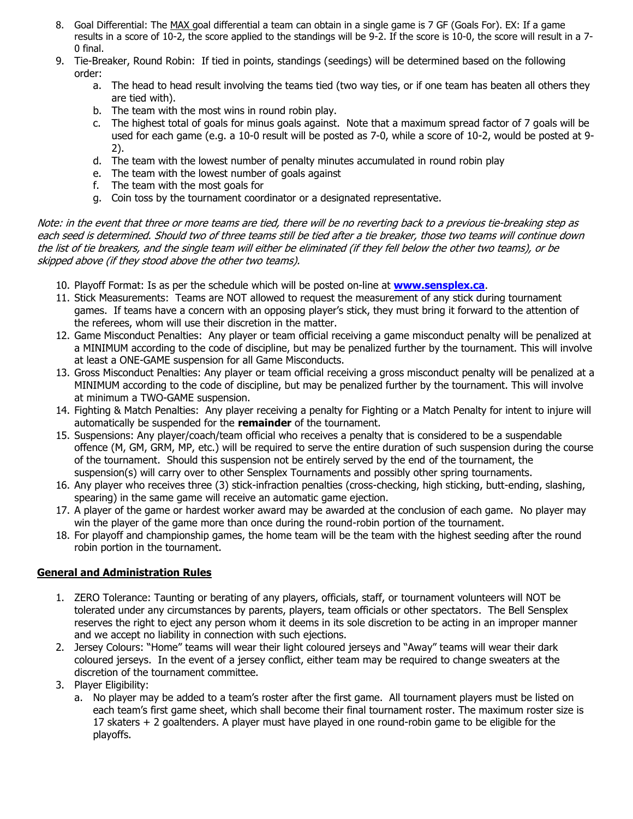- 8. Goal Differential: The MAX goal differential a team can obtain in a single game is 7 GF (Goals For). EX: If a game results in a score of 10-2, the score applied to the standings will be 9-2. If the score is 10-0, the score will result in a 7- 0 final.
- 9. Tie-Breaker, Round Robin: If tied in points, standings (seedings) will be determined based on the following order:
	- a. The head to head result involving the teams tied (two way ties, or if one team has beaten all others they are tied with).
	- b. The team with the most wins in round robin play.
	- c. The highest total of goals for minus goals against. Note that a maximum spread factor of 7 goals will be used for each game (e.g. a 10-0 result will be posted as 7-0, while a score of 10-2, would be posted at 9- 2).
	- d. The team with the lowest number of penalty minutes accumulated in round robin play
	- e. The team with the lowest number of goals against
	- f. The team with the most goals for
	- g. Coin toss by the tournament coordinator or a designated representative.

Note: in the event that three or more teams are tied, there will be no reverting back to a previous tie-breaking step as each seed is determined. Should two of three teams still be tied after a tie breaker, those two teams will continue down the list of tie breakers, and the single team will either be eliminated (if they fell below the other two teams), or be skipped above (if they stood above the other two teams).

- 10. Playoff Format: Is as per the schedule which will be posted on-line at **[www.sensplex.ca](http://www.sensplex.ca/)**.
- 11. Stick Measurements: Teams are NOT allowed to request the measurement of any stick during tournament games. If teams have a concern with an opposing player's stick, they must bring it forward to the attention of the referees, whom will use their discretion in the matter.
- 12. Game Misconduct Penalties: Any player or team official receiving a game misconduct penalty will be penalized at a MINIMUM according to the code of discipline, but may be penalized further by the tournament. This will involve at least a ONE-GAME suspension for all Game Misconducts.
- 13. Gross Misconduct Penalties: Any player or team official receiving a gross misconduct penalty will be penalized at a MINIMUM according to the code of discipline, but may be penalized further by the tournament. This will involve at minimum a TWO-GAME suspension.
- 14. Fighting & Match Penalties: Any player receiving a penalty for Fighting or a Match Penalty for intent to injure will automatically be suspended for the **remainder** of the tournament.
- 15. Suspensions: Any player/coach/team official who receives a penalty that is considered to be a suspendable offence (M, GM, GRM, MP, etc.) will be required to serve the entire duration of such suspension during the course of the tournament. Should this suspension not be entirely served by the end of the tournament, the suspension(s) will carry over to other Sensplex Tournaments and possibly other spring tournaments.
- 16. Any player who receives three (3) stick-infraction penalties (cross-checking, high sticking, butt-ending, slashing, spearing) in the same game will receive an automatic game ejection.
- 17. A player of the game or hardest worker award may be awarded at the conclusion of each game. No player may win the player of the game more than once during the round-robin portion of the tournament.
- 18. For playoff and championship games, the home team will be the team with the highest seeding after the round robin portion in the tournament.

## **General and Administration Rules**

- 1. ZERO Tolerance: Taunting or berating of any players, officials, staff, or tournament volunteers will NOT be tolerated under any circumstances by parents, players, team officials or other spectators. The Bell Sensplex reserves the right to eject any person whom it deems in its sole discretion to be acting in an improper manner and we accept no liability in connection with such ejections.
- 2. Jersey Colours: "Home" teams will wear their light coloured jerseys and "Away" teams will wear their dark coloured jerseys. In the event of a jersey conflict, either team may be required to change sweaters at the discretion of the tournament committee.
- 3. Player Eligibility:
	- a. No player may be added to a team's roster after the first game. All tournament players must be listed on each team's first game sheet, which shall become their final tournament roster. The maximum roster size is 17 skaters + 2 goaltenders. A player must have played in one round-robin game to be eligible for the playoffs.